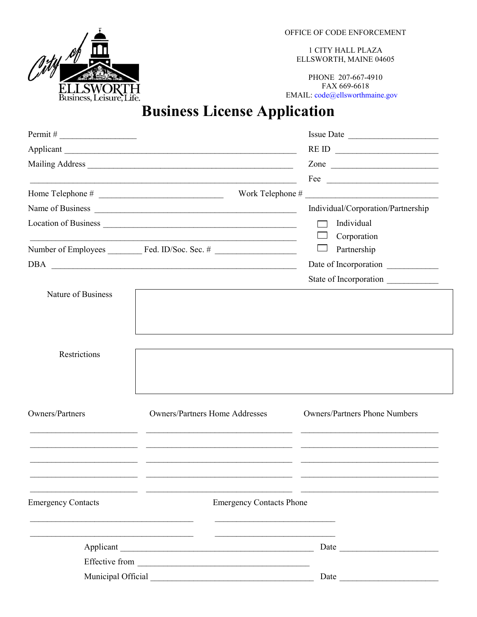Pitr ELLSWORTH<br>Business, Leisure, Life. OFFICE OF CODE ENFORCEMENT

1 CITY HALL PLAZA ELLSWORTH, MAINE 04605

PHONE 207-667-4910 FAX 669-6618 EMAIL: code@ellsworthmaine.gov

## **Business License Application**

|                           |                                       | REID                                 |  |
|---------------------------|---------------------------------------|--------------------------------------|--|
|                           |                                       | Zone                                 |  |
|                           |                                       | Fee $\overline{\qquad \qquad }$      |  |
|                           |                                       |                                      |  |
|                           |                                       | Individual/Corporation/Partnership   |  |
|                           |                                       | Individual                           |  |
|                           |                                       | Corporation                          |  |
|                           |                                       | Partnership                          |  |
|                           |                                       | Date of Incorporation                |  |
|                           |                                       | State of Incorporation               |  |
| Nature of Business        |                                       |                                      |  |
|                           |                                       |                                      |  |
|                           |                                       |                                      |  |
|                           |                                       |                                      |  |
| Restrictions              |                                       |                                      |  |
|                           |                                       |                                      |  |
|                           |                                       |                                      |  |
|                           |                                       |                                      |  |
| Owners/Partners           | <b>Owners/Partners Home Addresses</b> | <b>Owners/Partners Phone Numbers</b> |  |
|                           |                                       |                                      |  |
|                           |                                       |                                      |  |
|                           |                                       |                                      |  |
|                           |                                       |                                      |  |
|                           |                                       |                                      |  |
| <b>Emergency Contacts</b> | <b>Emergency Contacts Phone</b>       |                                      |  |
|                           |                                       |                                      |  |
|                           |                                       |                                      |  |
|                           |                                       |                                      |  |
|                           |                                       |                                      |  |
|                           |                                       |                                      |  |
|                           |                                       |                                      |  |